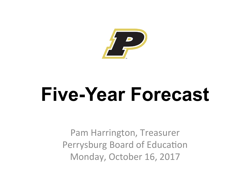

# **Five-Year Forecast**

Pam Harrington, Treasurer Perrysburg Board of Education Monday, October 16, 2017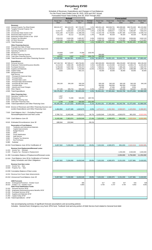#### **Perrysburg EVSD Wood**

Schedule of Revenues, Expenditures and Changes in Fund Balances For the Fiscal Years Ended June 30, 2015, 2016 and 2017 Actual; Forecasted Fiscal Years Ending June 30, 2018 Through 2022

|                                                                               |                                                                                                                                                                                                                                                                                                                                                                                                               | <b>Actual</b>                                                |                                                     |                                                                 |                                    | Forecasted                                                     |                                                                |                                                                |                                                                |                                                                |
|-------------------------------------------------------------------------------|---------------------------------------------------------------------------------------------------------------------------------------------------------------------------------------------------------------------------------------------------------------------------------------------------------------------------------------------------------------------------------------------------------------|--------------------------------------------------------------|-----------------------------------------------------|-----------------------------------------------------------------|------------------------------------|----------------------------------------------------------------|----------------------------------------------------------------|----------------------------------------------------------------|----------------------------------------------------------------|----------------------------------------------------------------|
|                                                                               |                                                                                                                                                                                                                                                                                                                                                                                                               | <b>Fiscal Year</b><br>2015                                   | <b>Fiscal Year</b><br>2016                          | <b>Fiscal Year</b><br>2017                                      | Average<br>Change                  | <b>Fiscal Year</b><br>2018                                     | <b>Fiscal Year</b><br>2019                                     | <b>Fiscal Year</b><br>2020                                     | <b>Fiscal Year</b><br>2021                                     | <b>Fiscal Year</b><br>2022                                     |
| 1.020<br>1.030<br>1.035                                                       | <b>Revenues</b><br>1.010 General Property Tax (Real Estate)<br>Tangible Personal Property Tax<br>Income Tax<br>Unrestricted State Grants-in-Aid                                                                                                                                                                                                                                                               | \$26,041,977<br>44<br>6,154,752<br>9,921,290                 | \$26,424,578<br>993,439<br>6,483,422<br>10,710,604  | \$27,703,357<br>1,078,646<br>6,572,202<br>11,388,436            | 3.2%<br>1128862.2%<br>3.4%<br>7.1% | \$28,931,128<br>1,141,135<br>6,762,796<br>11,623,748           | \$29,509,751<br>1,152,546<br>6,958,917<br>11,739,985           | \$30,099,946<br>1,164,072<br>7,160,726<br>11,857,385           | \$30,701,945<br>1,175,713<br>7,368,387<br>11,975,959           | \$31,315,984<br>1,187,470<br>7,582,070<br>12,095,719           |
| 1.040<br>1.045<br>1.050                                                       | Restricted State Grants-in-Aid<br>Restricted Federal Grants-in-Aid - SFSF<br>Property Tax Allocation                                                                                                                                                                                                                                                                                                          | 141,133<br>3,934,533                                         | 93,112<br>3,404,536                                 | 122,163<br>3,465,357                                            | $-1.4%$<br>$-5.8%$<br>11.3%        | 85,429<br>3,500,010                                            | 85,429<br>3,535,010                                            | 85,429<br>3,570,360                                            | 85,429<br>3,606,064                                            | 85,429<br>3,642,124<br>1,771,647                               |
| 1.060<br>1.070                                                                | All Other Revenues<br>Total Revenues                                                                                                                                                                                                                                                                                                                                                                          | 1,325,340<br>47,519,069                                      | 1,251,983<br>49,361,674                             | 1,604,635<br>51,934,796                                         | 4.5%                               | 1,636,728<br>53,680,974                                        | 1,669,463<br>54,651,101                                        | 1,702,852<br>55,640,770                                        | 1,736,909<br>56,650,405                                        | 57,680,442                                                     |
| 2.050                                                                         | <b>Other Financing Sources</b><br>2.010 Proceeds from Sale of Notes<br>2.020 State Emergency Loans and Advancements (Approved)<br>2.040 Operating Transfers-In                                                                                                                                                                                                                                                |                                                              |                                                     |                                                                 |                                    |                                                                |                                                                |                                                                |                                                                |                                                                |
|                                                                               | Advances-In<br>2.060 All Other Financing Sources                                                                                                                                                                                                                                                                                                                                                              | 120,809<br>5,202                                             | 3,287                                               | 74,390<br>75                                                    | 1032.9%                            | 500,000                                                        |                                                                |                                                                |                                                                |                                                                |
| 2.070<br>2.080                                                                | <b>Total Other Financing Sources</b><br><b>Total Revenues and Other Financing Sources</b>                                                                                                                                                                                                                                                                                                                     | 126,011<br>47,645,080                                        | 3,287<br>49,364,961                                 | 74,315<br>52,009,111                                            | 1031.7%<br>4.5%                    | 500,000<br>54,180,974                                          | 54,651,101                                                     | 55,640,770                                                     | 56,650,405                                                     | 57,680,442                                                     |
| 3.020<br>3.030<br>3.040<br>3.050<br>3.060<br>4.010<br>4.020                   | <b>Expenditures</b><br>3.010 Personal Services<br>Employees' Retirement/Insurance Benefits<br><b>Purchased Services</b><br>Supplies and Materials<br>Capital Outlay<br>Intergovernmental<br>Debt Service:<br>Principal-All (Historical Only)                                                                                                                                                                  | \$27,340,740<br>9,114,019<br>6,708,049<br>2,090,423<br>4,926 | \$27,983,417<br>9,982,195<br>6,837,048<br>1,504,749 | \$29,784,801<br>10,689,494<br>6,763,374<br>1,534,586<br>402,141 | 4.4%<br>8.3%<br>0.4%<br>$-13.0%$   | \$33,500,000<br>11,800,000<br>7,098,641<br>1,760,624<br>50,000 | \$34,840,000<br>12,154,000<br>7,240,614<br>1,795,836<br>30,000 | \$36,233,600<br>12,518,620<br>7,385,426<br>1,831,753<br>30,000 | \$37,682,944<br>12,894,179<br>7,533,135<br>1,868,388<br>30,000 | \$39,190,262<br>13,281,004<br>7,683,797<br>1,905,756<br>30,000 |
| 4.030<br>4.040<br>4.050<br>4.055<br>4.060<br>4.300                            | Principal-Notes<br>Principal-State Loans<br>Principal-State Advancements<br>Principal-HB 264 Loans<br>Principal-Other<br>Interest and Fiscal Charges<br>Other Objects                                                                                                                                                                                                                                         | 340,100<br>577,195                                           | 340,100<br>505,734                                  | 340,100<br>445,914<br>505,026                                   | $-6.3%$                            | 340,100<br>350,000<br>39,699<br>515,127                        | 340,100<br>350,000<br>27,484<br>525,430                        | 340,100<br>350,000<br>15,269<br>535,938                        | 340,100<br>175,000<br>3,054<br>546,657                         | 340,100<br>557,590                                             |
| 4.500                                                                         | <b>Total Expenditures</b>                                                                                                                                                                                                                                                                                                                                                                                     | 46,175,452                                                   | 47,153,243                                          | 50,465,436                                                      | 4.6%                               | 55,454,191                                                     | 57,303,464                                                     | 59,240,706                                                     | 61,073,456                                                     | 62,988,509                                                     |
| 5.030                                                                         | <b>Other Financing Uses</b><br>5.010 Operating Transfers-Out<br>5.020 Advances-Out<br>All Other Financing Uses                                                                                                                                                                                                                                                                                                | 1,507<br>3,287                                               | 74,390                                              | 500,000                                                         | 1367.6%                            |                                                                |                                                                |                                                                |                                                                |                                                                |
| 5.040<br>5.050                                                                | <b>Total Other Financing Uses</b><br><b>Total Expenditures and Other Financing Uses</b>                                                                                                                                                                                                                                                                                                                       | 4,794<br>46,180,246                                          | 74,390<br>47,227,633                                | 500,000<br>50,965,436                                           | 1011.9%<br>5.1%                    | 55,454,191                                                     | 57,303,464                                                     | 59,240,706                                                     | 61,073,456                                                     | 62,988,509                                                     |
|                                                                               | 6.010 Excess of Revenues and Other Financing Sources over<br>(under) Expenditures and Other Financing Uses                                                                                                                                                                                                                                                                                                    | 1,464,834                                                    | 2,137,328                                           | 1,043,675                                                       | $-2.6%$                            | 1,273,217-                                                     | 2,652,362-                                                     | 3,599,937-                                                     | 4,423,052-                                                     | 5,308,067-                                                     |
|                                                                               | 7.010 Cash Balance July 1 - Excluding Proposed<br>Renewal/Replacement and New Levies                                                                                                                                                                                                                                                                                                                          | 3,780,712                                                    | 5,245,546                                           | 7,382,874                                                       | 39.7%                              | 8,426,549                                                      | 7,153,332                                                      | 4,500,970                                                      | 901,033                                                        | 3,522,019-                                                     |
| 7.020                                                                         | Cash Balance June 30                                                                                                                                                                                                                                                                                                                                                                                          | 5,245,546                                                    | 7,382,874                                           | 8,426,549                                                       | 27.4%                              | 7,153,332                                                      | 4,500,970                                                      | 901,033                                                        | 3,522,019-                                                     | 8,830,085-                                                     |
| 8.010                                                                         | <b>Estimated Encumbrances June 30</b>                                                                                                                                                                                                                                                                                                                                                                         | 188.044                                                      | 153,944                                             |                                                                 | $-59.1%$                           |                                                                |                                                                |                                                                |                                                                |                                                                |
| 9.010<br>9.020<br>9.030<br>9.040<br>9.045<br>9.050<br>9.060<br>9.070<br>9.080 | <b>Reservation of Fund Balance</b><br>Textbooks and Instructional Materials<br>Capital Improvements<br><b>Budget Reserve</b><br><b>DPIA</b><br><b>Fiscal Stabilization</b><br>Debt Service<br>Property Tax Advances<br><b>Bus Purchases</b><br>Subtotal                                                                                                                                                       |                                                              |                                                     |                                                                 |                                    |                                                                |                                                                |                                                                |                                                                |                                                                |
|                                                                               | 10.010 Fund Balance June 30 for Certification of                                                                                                                                                                                                                                                                                                                                                              | 5,057,502                                                    | 7,228,930                                           | 8,426,549                                                       | 29.8%                              | 7,153,332                                                      | 4,500,970                                                      | 901,033                                                        | 3,522,019-                                                     | 8,830,085-                                                     |
| 11.020                                                                        | Revenue from Replacement/Renewal Levies<br>11.010 Income Tax - Renewal<br>Property Tax - Renewal or Replacement                                                                                                                                                                                                                                                                                               |                                                              |                                                     |                                                                 |                                    |                                                                |                                                                | 2,250,000                                                      | 4,500,000                                                      | 4,500,000                                                      |
|                                                                               | 11.300 Cumulative Balance of Replacement/Renewal Levies                                                                                                                                                                                                                                                                                                                                                       |                                                              |                                                     |                                                                 |                                    |                                                                |                                                                | 2,250,000                                                      | 6,750,000                                                      | 11,250,000                                                     |
|                                                                               | 12.010 Fund Balance June 30 for Certification of Contracts,<br>Salary Schedules and Other Obligations                                                                                                                                                                                                                                                                                                         | 5,057,502                                                    | 7,228,930                                           | 8,426,549                                                       | 29.8%                              | 7,153,332                                                      | 4,500,970                                                      | 3,151,033                                                      | 3,227,981                                                      | 2,419,915                                                      |
| 13.020                                                                        | <b>Revenue from New Levies</b><br>13.010 Income Tax - New<br>Property Tax - New                                                                                                                                                                                                                                                                                                                               |                                                              |                                                     |                                                                 |                                    |                                                                |                                                                |                                                                |                                                                |                                                                |
|                                                                               | 13.030 Cumulative Balance of New Levies                                                                                                                                                                                                                                                                                                                                                                       |                                                              |                                                     |                                                                 |                                    |                                                                |                                                                |                                                                |                                                                |                                                                |
|                                                                               | 14.010 Revenue from Future State Advancements                                                                                                                                                                                                                                                                                                                                                                 |                                                              |                                                     |                                                                 |                                    |                                                                |                                                                |                                                                |                                                                |                                                                |
| 21.020<br>21.030<br>21.040<br>21.050                                          | 15.010 Unreserved Fund Balance June 30<br><b>ADM Forecasts</b><br>20.010 Kindergarten/Preschool - October Count<br>20.015 Grades 1-12 - October Count<br><b>State Fiscal Stabilization Funds</b><br>21.010 Personal Services SFSF<br>Employees Retirement/Insurance Benefits SFSF<br><b>Purchased Services SFSF</b><br>Supplies and Materials SFSF<br>Capital Outlay SFSF<br>21.060 Total Expenditures - SFSF | 5,057,502                                                    | 7,228,930                                           | 8,426,549<br>486<br>4,660                                       | 29.8%                              | 7,153,332<br>517<br>4,700                                      | 4,500,970<br>522<br>4,747                                      | 3,151,033<br>527<br>4,794                                      | 3,227,981<br>533<br>4,842                                      | 2,419,915<br>538<br>4,891                                      |

See accompanying summary of significant forecast assumptions and accounting policies

Includes: General fund, Emergency Levy fund, DPIA fund, Textbook fund and any portion of Debt Service fund related to General fund debt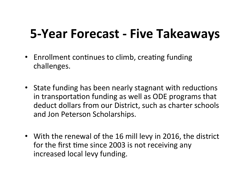# **5-Year Forecast - Five Takeaways**

- Enrollment continues to climb, creating funding challenges.
- State funding has been nearly stagnant with reductions in transportation funding as well as ODE programs that deduct dollars from our District, such as charter schools and Jon Peterson Scholarships.
- With the renewal of the 16 mill levy in 2016, the district for the first time since 2003 is not receiving any increased local levy funding.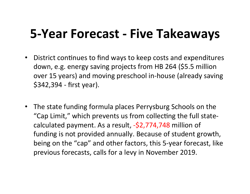#### **5-Year Forecast - Five Takeaways**

- District continues to find ways to keep costs and expenditures down, e.g. energy saving projects from HB 264 (\$5.5 million over 15 years) and moving preschool in-house (already saving  $$342,394$  - first year).
- The state funding formula places Perrysburg Schools on the "Cap Limit," which prevents us from collecting the full statecalculated payment. As a result, -\$2,774,748 million of funding is not provided annually. Because of student growth, being on the "cap" and other factors, this 5-year forecast, like previous forecasts, calls for a levy in November 2019.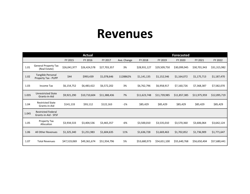#### **Revenues**

|       |                                                   |              | <b>Actual</b> |              |             |              |              | <b>Forecasted</b> |              |              |
|-------|---------------------------------------------------|--------------|---------------|--------------|-------------|--------------|--------------|-------------------|--------------|--------------|
|       |                                                   | FY 2015      | FY 2016       | FY 2017      | Ave. Change | FY 2018      | FY 2019      | FY 2020           | FY 2021      | FY 2022      |
| 1.01  | <b>General Property Tax</b><br>(Real Estate)      | \$26,041,977 | \$26,424,578  | \$27,703,357 | 3%          | \$28,931,127 | \$29,509,750 | \$30,099,945      | \$30,701,943 | \$31,315,982 |
| 1.02  | Tangible Personal<br>Property Tax - PUPP          | \$44         | \$993,439     | \$1,078,646  | 1128862%    | \$1,141,135  | \$1,152,546  | \$1,164,072       | \$1,175,713  | \$1,187,470  |
| 1.03  | Income Tax                                        | \$6,154,752  | \$6,483,422   | \$6,572,202  | 3%          | \$6,762,796  | \$6,958,917  | \$7,160,726       | \$7,368,387  | \$7,582,070  |
| 1.035 | <b>Unrestricted State</b><br>Grants-in-Aid        | \$9,921,290  | \$10,710,604  | \$11,388,436 | 7%          | \$11,623,748 | \$11,739,985 | \$11,857,385      | \$11,975,959 | \$12,095,719 |
| 1.04  | <b>Restricted State</b><br>Grants-in-Aid          | \$141,133    | \$93,112      | \$122,163    | $-1\%$      | \$85,429     | \$85,429     | \$85,429          | \$85,429     | \$85,429     |
| 1.045 | <b>Restricted Federal</b><br>Grants-in-Aid - SFSF |              |               |              |             |              |              |                   |              |              |
| 1.05  | Property Tax<br>Allocation                        | \$3,934,533  | \$3,404,536   | \$3,465,357  | -6%         | \$3,500,010  | \$3,535,010  | \$3,570,360       | \$3,606,064  | \$3,642,124  |
| 1.06  | All Other Revenues                                | \$1,325,340  | \$1,251,983   | \$1,604,635  | 11%         | \$1,636,728  | \$1,669,463  | \$1,702,852       | \$1,736,909  | \$1,771,647  |
| 1.07  | <b>Total Revenues</b>                             | \$47,519,069 | \$49,361,674  | \$51,934,796 | 5%          | \$53,680,973 | \$54,651,100 | \$55,640,768      | \$56,650,404 | \$57,680,441 |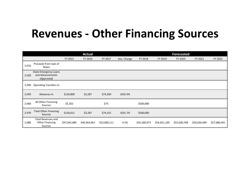#### **Revenues - Other Financing Sources**

|       |                                                                |              | <b>Actual</b> |              |             |              |              | <b>Forecasted</b> |              |              |
|-------|----------------------------------------------------------------|--------------|---------------|--------------|-------------|--------------|--------------|-------------------|--------------|--------------|
|       |                                                                | FY 2015      | FY 2016       | FY 2017      | Ave. Change | FY 2018      | FY 2019      | FY 2020           | FY 2021      | FY 2022      |
| 2.010 | Proceeds from Sale of<br><b>Notes</b>                          |              |               |              |             |              |              |                   |              |              |
| 2.020 | <b>State Emergency Loans</b><br>and Advancements<br>(Approved) |              |               |              |             |              |              |                   |              |              |
| 2.040 | <b>Operating Transfers-In</b>                                  |              |               |              |             |              |              |                   |              |              |
| 2.050 | Advances-In                                                    | \$120,809    | \$3,287       | \$74,390     | 1032.9%     |              |              |                   |              |              |
| 2.060 | All Other Financing<br>Sources                                 | \$5,202      |               | \$75-        |             | \$500,000    |              |                   |              |              |
| 2.070 | <b>Total Other Financing</b><br>Sources                        | \$126,011    | \$3,287       | \$74,315     | 1031.7%     | \$500,000    |              |                   |              |              |
| 2.080 | <b>Total Revenues and</b><br><b>Other Financing</b><br>Sources | \$47,645,080 | \$49,364,961  | \$52,009,111 | 4.5%        | \$54,180,973 | \$54,651,100 | \$55,640,768      | \$56,650,404 | \$57,680,441 |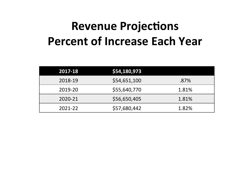## **Revenue Projections Percent of Increase Each Year**

| 2017-18 | \$54,180,973 |       |
|---------|--------------|-------|
| 2018-19 | \$54,651,100 | .87%  |
| 2019-20 | \$55,640,770 | 1.81% |
| 2020-21 | \$56,650,405 | 1.81% |
| 2021-22 | \$57,680,442 | 1.82% |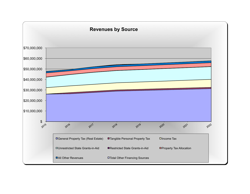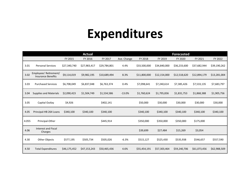## **Expenditures**

|       |                                                     |              | <b>Actual</b> |              |             |              |              | <b>Forecasted</b> |              |              |
|-------|-----------------------------------------------------|--------------|---------------|--------------|-------------|--------------|--------------|-------------------|--------------|--------------|
|       |                                                     | FY 2015      | FY 2016       | FY 2017      | Ave. Change | FY 2018      | FY 2019      | FY 2020           | FY 2021      | FY 2022      |
| 3.01  | <b>Personal Services</b>                            | \$27,340,740 | \$27,983,417  | \$29,784,801 | 4.4%        | \$33,500,000 | \$34,840,000 | \$36,233,600      | \$37,682,944 | \$39,190,262 |
| 3.02  | Employees' Retirement/<br><b>Insurance Benefits</b> | \$9,114,019  | \$9,982,195   | \$10,689,494 | 8.3%        | \$11,800,000 | \$12,154,000 | \$12,518,620      | \$12,894,179 | \$13,281,004 |
| 3.03  | <b>Purchased Services</b>                           | \$6,708,049  | \$6,837,048   | \$6,763,374  | 0.4%        | \$7,098,641  | \$7,240,614  | \$7,385,426       | \$7,533,135  | \$7,683,797  |
| 3.04  | <b>Supplies and Materials</b>                       | \$2,090,423  | \$1,504,749   | \$1,534,586  | $-13.0%$    | \$1,760,624  | \$1,795,836  | \$1,831,753       | \$1,868,388  | \$1,905,756  |
| 3.05  | Capital Outlay                                      | \$4,926      |               | \$402,141    |             | \$50,000     | \$30,000     | \$30,000          | \$30,000     | \$30,000     |
| 4.05  | Principal-HB 264 Loans                              | \$340,100    | \$340,100     | \$340,100    |             | \$340,100    | \$340,100    | \$340,100         | \$340,100    | \$340,100    |
| 4.055 | Principal-Other                                     |              |               | \$445,914    |             | \$350,000    | \$350,000    | \$350,000         | \$175,000    |              |
| 4.06  | <b>Interest and Fiscal</b><br>Charges               |              |               |              |             | \$39,699     | \$27,484     | \$15,269          | \$3,054      |              |
| 4.30  | <b>Other Objects</b>                                | \$577,195    | \$505,734     | \$505,026    | $-6.3%$     | \$515,127    | \$525,430    | \$535,938         | \$546,657    | \$557,590    |
| 4.50  | <b>Total Expenditures</b>                           | \$46,175,452 | \$47,153,243  | \$50,465,436 | 4.6%        | \$55,454,191 | \$57,303,464 | \$59,240,706      | \$61,073,456 | \$62,988,509 |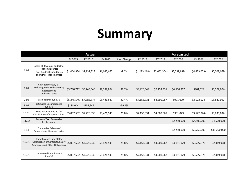#### **Summary**

|       |                                                                                                                           |             | <b>Actual</b> |             |             |              |              | <b>Forecasted</b> |              |              |
|-------|---------------------------------------------------------------------------------------------------------------------------|-------------|---------------|-------------|-------------|--------------|--------------|-------------------|--------------|--------------|
|       |                                                                                                                           | FY 2015     | FY 2016       | FY 2017     | Ave. Change | FY 2018      | FY 2019      | FY 2020           | FY 2021      | FY 2022      |
| 6.01  | <b>Excess of Revenues and Other</b><br><b>Financing Sources</b><br>over (under) Expenditures<br>and Other Financing Uses  | \$1,464,834 | \$2,137,328   | \$1,043,675 | $-2.6%$     | \$1,273,218- | \$2,652,364- | \$3,599,938-      | \$4,423,053- | \$5,308,068- |
| 7.01  | Cash Balance July 1-<br>Excluding Proposed Renewal/<br>Replacement<br>and New Levies                                      | \$3,780,712 | \$5,245,546   | \$7,382,874 | 39.7%       | \$8,426,549  | \$7,153,331  | \$4,500,967       | \$901,029    | \$3,522,024- |
| 7.02  | Cash Balance June 30                                                                                                      | \$5,245,546 | \$7,382,874   | \$8,426,549 | 27.4%       | \$7,153,331  | \$4,500,967  | \$901,029         | \$3,522,024- | \$8,830,092- |
| 8.01  | <b>Estimated Encumbrances</b><br>June 30                                                                                  | \$188,044   | \$153,944     |             | $-59.1%$    |              |              |                   |              |              |
| 10.01 | Fund Balance June 30 for<br><b>Certification of Appropriations</b>                                                        | \$5,057,502 | \$7,228,930   | \$8,426,549 | 29.8%       | \$7,153,331  | \$4,500,967  | \$901,029         | \$3,522,024- | \$8,830,092- |
| 11.02 | Property Tax - Renewal or<br>Replacement                                                                                  |             |               |             |             |              |              | \$2,250,000       | \$4,500,000  | \$4,500,000  |
| 11.3  | Cumulative Balance of<br>Replacement/Renewal Levies                                                                       |             |               |             |             |              |              | \$2,250,000       | \$6,750,000  | \$11,250,000 |
| 12.01 | Fund Balance June 30 for<br>Certification of Contracts, Salary \$5,057,502 \$7,228,930<br>Schedules and Other Obligations |             |               | \$8,426,549 | 29.8%       | \$7,153,331  | \$4,500,967  | \$3,151,029       | \$3,227,976  | \$2,419,908  |
| 15.01 | Unreserved Fund Balance<br>June 30                                                                                        | \$5,057,502 | \$7,228,930   | \$8,426,549 | 29.8%       | \$7,153,331  | \$4,500,967  | \$3,151,029       | \$3,227,976  | \$2,419,908  |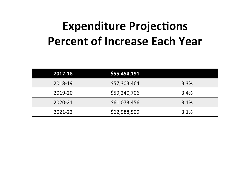# **Expenditure Projections Percent of Increase Each Year**

| 2017-18 | \$55,454,191 |      |
|---------|--------------|------|
| 2018-19 | \$57,303,464 | 3.3% |
| 2019-20 | \$59,240,706 | 3.4% |
| 2020-21 | \$61,073,456 | 3.1% |
| 2021-22 | \$62,988,509 | 3.1% |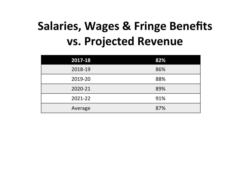# **Salaries, Wages & Fringe Benefits vs. Projected Revenue**

| 2017-18 | 82% |
|---------|-----|
| 2018-19 | 86% |
| 2019-20 | 88% |
| 2020-21 | 89% |
| 2021-22 | 91% |
| Average | 87% |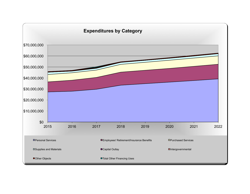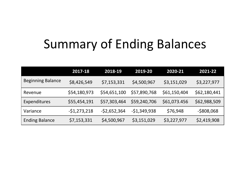# **Summary of Ending Balances**

|                          | 2017-18       | 2018-19       | 2019-20       | 2020-21      | 2021-22      |
|--------------------------|---------------|---------------|---------------|--------------|--------------|
| <b>Beginning Balance</b> | \$8,426,549   | \$7,153,331   | \$4,500,967   | \$3,151,029  | \$3,227,977  |
| Revenue                  | \$54,180,973  | \$54,651,100  | \$57,890,768  | \$61,150,404 | \$62,180,441 |
| Expenditures             | \$55,454,191  | \$57,303,464  | \$59,240,706  | \$61,073.456 | \$62,988,509 |
| Variance                 | $-51,273,218$ | $-52,652,364$ | $-51,349,938$ | \$76,948     | $-5808,068$  |
| <b>Ending Balance</b>    | \$7,153,331   | \$4,500,967   | \$3,151,029   | \$3,227,977  | \$2,419,908  |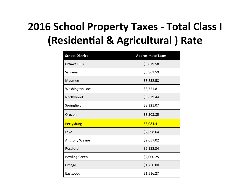#### **2016 School Property Taxes - Total Class I (Residential & Agricultural ) Rate**

| <b>School District</b>  | <b>Approximate Taxes</b> |
|-------------------------|--------------------------|
| Ottawa Hills            | \$5,879.58               |
| Sylvania                | \$3,861.59               |
| Maumee                  | \$3,852.58               |
| <b>Washington Local</b> | \$3,751.81               |
| Northwood               | \$3,639.44               |
| Springfield             | \$3,321.07               |
| Oregon                  | \$3,303.85               |
| Perrysburg              | \$3,084.41               |
| Lake                    | \$2,698.64               |
| Anthony Wayne           | \$2,657.02               |
| Rossford                | \$2,132.34               |
| <b>Bowling Green</b>    | \$2,000.25               |
| Otsego                  | \$1,750.00               |
| Eastwood                | \$1,516.27               |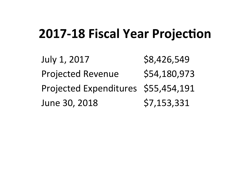#### **2017-18 Fiscal Year Projection**

July 1, 2017 \$8,426,549 Projected Revenue \$54,180,973 Projected Expenditures \$55,454,191 June 30, 2018 \$7,153,331